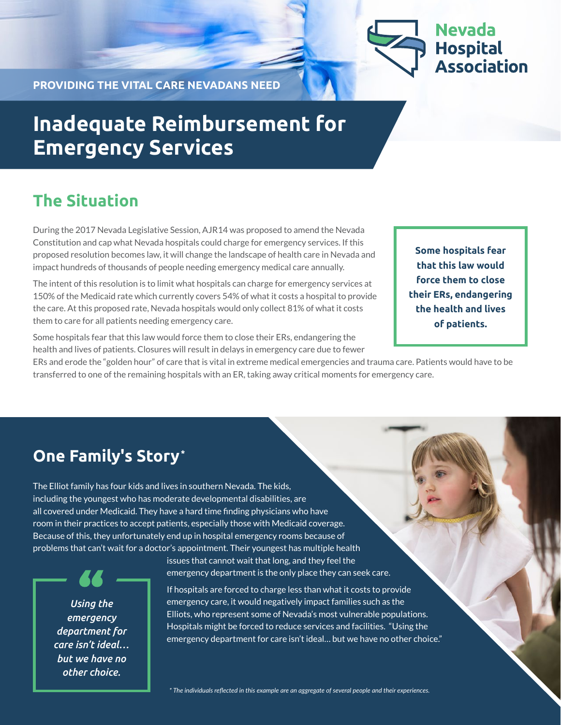

**PROVIDING THE VITAL CARE NEVADANS NEED**

# **Inadequate Reimbursement for Emergency Services**

### **The Situation**

During the 2017 Nevada Legislative Session, AJR14 was proposed to amend the Nevada Constitution and cap what Nevada hospitals could charge for emergency services. If this proposed resolution becomes law, it will change the landscape of health care in Nevada and impact hundreds of thousands of people needing emergency medical care annually.

The intent of this resolution is to limit what hospitals can charge for emergency services at 150% of the Medicaid rate which currently covers 54% of what it costs a hospital to provide the care. At this proposed rate, Nevada hospitals would only collect 81% of what it costs them to care for all patients needing emergency care.

Some hospitals fear that this law would force them to close their ERs, endangering the health and lives of patients. Closures will result in delays in emergency care due to fewer

**Some hospitals fear that this law would force them to close their ERs, endangering the health and lives of patients.**

ERs and erode the "golden hour" of care that is vital in extreme medical emergencies and trauma care. Patients would have to be transferred to one of the remaining hospitals with an ER, taking away critical moments for emergency care.

### **One Family's Story\***

The Elliot family has four kids and lives in southern Nevada. The kids, including the youngest who has moderate developmental disabilities, are all covered under Medicaid. They have a hard time finding physicians who have room in their practices to accept patients, especially those with Medicaid coverage. Because of this, they unfortunately end up in hospital emergency rooms because of problems that can't wait for a doctor's appointment. Their youngest has multiple health

*Using the emergency department for care isn't ideal… but we have no other choice.*

issues that cannot wait that long, and they feel the emergency department is the only place they can seek care.

If hospitals are forced to charge less than what it costs to provide emergency care, it would negatively impact families such as the Elliots, who represent some of Nevada's most vulnerable populations. Hospitals might be forced to reduce services and facilities. "Using the emergency department for care isn't ideal… but we have no other choice."